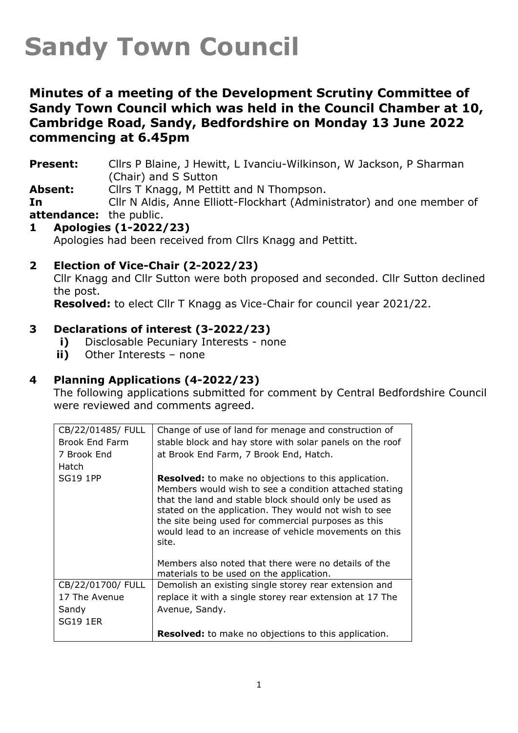## **Sandy Town Council**

## **Minutes of a meeting of the Development Scrutiny Committee of Sandy Town Council which was held in the Council Chamber at 10, Cambridge Road, Sandy, Bedfordshire on Monday 13 June 2022 commencing at 6.45pm**

**Present:** Cllrs P Blaine, J Hewitt, L Ivanciu-Wilkinson, W Jackson, P Sharman (Chair) and S Sutton

**Absent:** Cllrs T Knagg, M Pettitt and N Thompson.

**In attendance:** the public. Cllr N Aldis, Anne Elliott-Flockhart (Administrator) and one member of

## **1 Apologies (1-2022/23)**

Apologies had been received from Cllrs Knagg and Pettitt.

#### **2 Election of Vice-Chair (2-2022/23)**

Cllr Knagg and Cllr Sutton were both proposed and seconded. Cllr Sutton declined the post.

**Resolved:** to elect Cllr T Knagg as Vice-Chair for council year 2021/22.

#### **3 Declarations of interest (3-2022/23)**

- **i)** Disclosable Pecuniary Interests none
- **ii)** Other Interests none

#### **4 Planning Applications (4-2022/23)**

The following applications submitted for comment by Central Bedfordshire Council were reviewed and comments agreed.

| CB/22/01485/ FULL     | Change of use of land for menage and construction of                                                                                                                                                                                                                                                                                                              |
|-----------------------|-------------------------------------------------------------------------------------------------------------------------------------------------------------------------------------------------------------------------------------------------------------------------------------------------------------------------------------------------------------------|
| <b>Brook End Farm</b> | stable block and hay store with solar panels on the roof                                                                                                                                                                                                                                                                                                          |
| 7 Brook End           | at Brook End Farm, 7 Brook End, Hatch.                                                                                                                                                                                                                                                                                                                            |
| Hatch                 |                                                                                                                                                                                                                                                                                                                                                                   |
| <b>SG19 1PP</b>       | <b>Resolved:</b> to make no objections to this application.<br>Members would wish to see a condition attached stating<br>that the land and stable block should only be used as<br>stated on the application. They would not wish to see<br>the site being used for commercial purposes as this<br>would lead to an increase of vehicle movements on this<br>site. |
|                       | Members also noted that there were no details of the<br>materials to be used on the application.                                                                                                                                                                                                                                                                  |
| CB/22/01700/ FULL     | Demolish an existing single storey rear extension and                                                                                                                                                                                                                                                                                                             |
| 17 The Avenue         | replace it with a single storey rear extension at 17 The                                                                                                                                                                                                                                                                                                          |
| Sandy                 | Avenue, Sandy.                                                                                                                                                                                                                                                                                                                                                    |
| <b>SG19 1ER</b>       |                                                                                                                                                                                                                                                                                                                                                                   |
|                       | <b>Resolved:</b> to make no objections to this application.                                                                                                                                                                                                                                                                                                       |